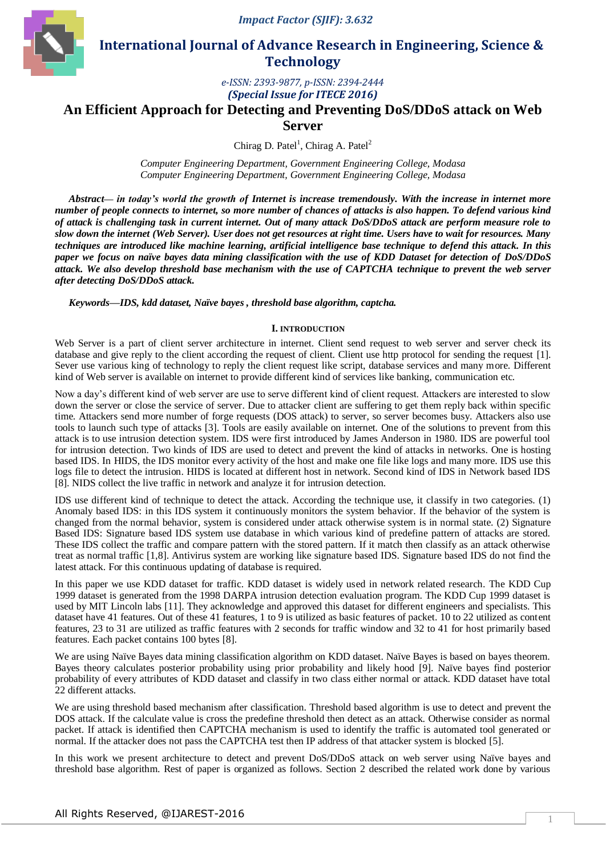

 **International Journal of Advance Research in Engineering, Science & Technology** 

> *e-ISSN: 2393-9877, p-ISSN: 2394-2444 (Special Issue for ITECE 2016)*

# **An Efficient Approach for Detecting and Preventing DoS/DDoS attack on Web Server**

Chirag D. Patel<sup>1</sup>, Chirag A. Patel<sup>2</sup>

*Computer Engineering Department, Government Engineering College, Modasa Computer Engineering Department, Government Engineering College, Modasa*

*Abstract***—** *in today's world the growth of Internet is increase tremendously. With the increase in internet more number of people connects to internet, so more number of chances of attacks is also happen. To defend various kind of attack is challenging task in current internet. Out of many attack DoS/DDoS attack are perform measure role to slow down the internet (Web Server). User does not get resources at right time. Users have to wait for resources. Many techniques are introduced like machine learning, artificial intelligence base technique to defend this attack. In this paper we focus on naïve bayes data mining classification with the use of KDD Dataset for detection of DoS/DDoS attack. We also develop threshold base mechanism with the use of CAPTCHA technique to prevent the web server after detecting DoS/DDoS attack.*

*Keywords—IDS, kdd dataset, Naïve bayes , threshold base algorithm, captcha.*

### **I. INTRODUCTION**

Web Server is a part of client server architecture in internet. Client send request to web server and server check its database and give reply to the client according the request of client. Client use http protocol for sending the request [1]. Sever use various king of technology to reply the client request like script, database services and many more. Different kind of Web server is available on internet to provide different kind of services like banking, communication etc.

Now a day's different kind of web server are use to serve different kind of client request. Attackers are interested to slow down the server or close the service of server. Due to attacker client are suffering to get them reply back within specific time. Attackers send more number of forge requests (DOS attack) to server, so server becomes busy. Attackers also use tools to launch such type of attacks [3]. Tools are easily available on internet. One of the solutions to prevent from this attack is to use intrusion detection system. IDS were first introduced by James Anderson in 1980. IDS are powerful tool for intrusion detection. Two kinds of IDS are used to detect and prevent the kind of attacks in networks. One is hosting based IDS. In HIDS, the IDS monitor every activity of the host and make one file like logs and many more. IDS use this logs file to detect the intrusion. HIDS is located at different host in network. Second kind of IDS in Network based IDS [8]. NIDS collect the live traffic in network and analyze it for intrusion detection.

IDS use different kind of technique to detect the attack. According the technique use, it classify in two categories. (1) Anomaly based IDS: in this IDS system it continuously monitors the system behavior. If the behavior of the system is changed from the normal behavior, system is considered under attack otherwise system is in normal state. (2) Signature Based IDS: Signature based IDS system use database in which various kind of predefine pattern of attacks are stored. These IDS collect the traffic and compare pattern with the stored pattern. If it match then classify as an attack otherwise treat as normal traffic [1,8]. Antivirus system are working like signature based IDS. Signature based IDS do not find the latest attack. For this continuous updating of database is required.

In this paper we use KDD dataset for traffic. KDD dataset is widely used in network related research. The KDD Cup 1999 dataset is generated from the 1998 DARPA intrusion detection evaluation program. The KDD Cup 1999 dataset is used by MIT Lincoln labs [11]. They acknowledge and approved this dataset for different engineers and specialists. This dataset have 41 features. Out of these 41 features, 1 to 9 is utilized as basic features of packet. 10 to 22 utilized as content features, 23 to 31 are utilized as traffic features with 2 seconds for traffic window and 32 to 41 for host primarily based features. Each packet contains 100 bytes [8].

We are using Naïve Bayes data mining classification algorithm on KDD dataset. Naïve Bayes is based on bayes theorem. Bayes theory calculates posterior probability using prior probability and likely hood [9]. Naïve bayes find posterior probability of every attributes of KDD dataset and classify in two class either normal or attack. KDD dataset have total 22 different attacks.

We are using threshold based mechanism after classification. Threshold based algorithm is use to detect and prevent the DOS attack. If the calculate value is cross the predefine threshold then detect as an attack. Otherwise consider as normal packet. If attack is identified then CAPTCHA mechanism is used to identify the traffic is automated tool generated or normal. If the attacker does not pass the CAPTCHA test then IP address of that attacker system is blocked [5].

In this work we present architecture to detect and prevent DoS/DDoS attack on web server using Naïve bayes and threshold base algorithm. Rest of paper is organized as follows. Section 2 described the related work done by various

1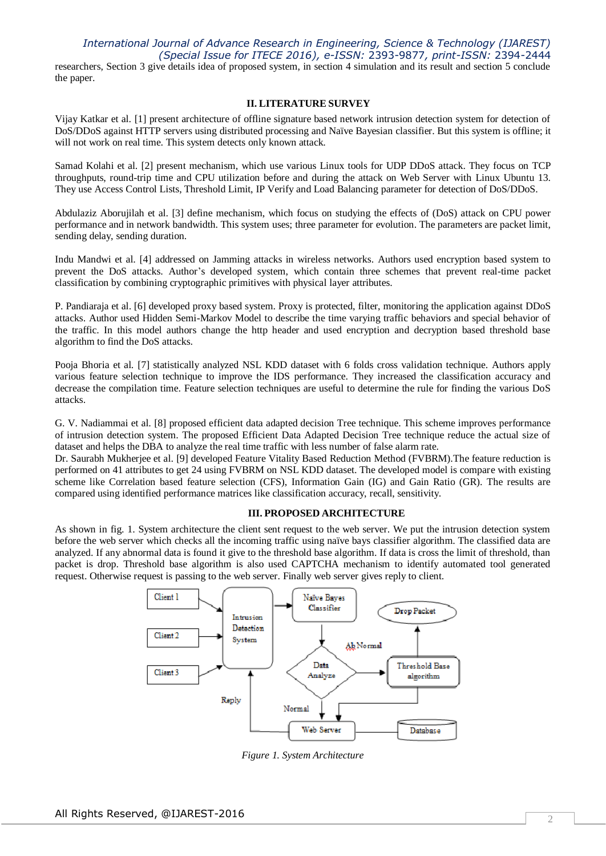## *International Journal of Advance Research in Engineering, Science & Technology (IJAREST) (Special Issue for ITECE 2016), e-ISSN:* 2393-9877*, print-ISSN:* 2394-2444

researchers, Section 3 give details idea of proposed system, in section 4 simulation and its result and section 5 conclude the paper.

#### **II. LITERATURE SURVEY**

Vijay Katkar et al. [1] present architecture of offline signature based network intrusion detection system for detection of DoS/DDoS against HTTP servers using distributed processing and Naïve Bayesian classifier. But this system is offline; it will not work on real time. This system detects only known attack.

Samad Kolahi et al. [2] present mechanism, which use various Linux tools for UDP DDoS attack. They focus on TCP throughputs, round-trip time and CPU utilization before and during the attack on Web Server with Linux Ubuntu 13. They use Access Control Lists, Threshold Limit, IP Verify and Load Balancing parameter for detection of DoS/DDoS.

Abdulaziz Aborujilah et al. [3] define mechanism, which focus on studying the effects of (DoS) attack on CPU power performance and in network bandwidth. This system uses; three parameter for evolution. The parameters are packet limit, sending delay, sending duration.

Indu Mandwi et al. [4] addressed on Jamming attacks in wireless networks. Authors used encryption based system to prevent the DoS attacks. Author's developed system, which contain three schemes that prevent real-time packet classification by combining cryptographic primitives with physical layer attributes.

P. Pandiaraja et al. [6] developed proxy based system. Proxy is protected, filter, monitoring the application against DDoS attacks. Author used Hidden Semi-Markov Model to describe the time varying traffic behaviors and special behavior of the traffic. In this model authors change the http header and used encryption and decryption based threshold base algorithm to find the DoS attacks.

Pooja Bhoria et al. [7] statistically analyzed NSL KDD dataset with 6 folds cross validation technique. Authors apply various feature selection technique to improve the IDS performance. They increased the classification accuracy and decrease the compilation time. Feature selection techniques are useful to determine the rule for finding the various DoS attacks.

G. V. Nadiammai et al. [8] proposed efficient data adapted decision Tree technique. This scheme improves performance of intrusion detection system. The proposed Efficient Data Adapted Decision Tree technique reduce the actual size of dataset and helps the DBA to analyze the real time traffic with less number of false alarm rate.

Dr. Saurabh Mukherjee et al. [9] developed Feature Vitality Based Reduction Method (FVBRM).The feature reduction is performed on 41 attributes to get 24 using FVBRM on NSL KDD dataset. The developed model is compare with existing scheme like Correlation based feature selection (CFS), Information Gain (IG) and Gain Ratio (GR). The results are compared using identified performance matrices like classification accuracy, recall, sensitivity.

## **III. PROPOSED ARCHITECTURE**

As shown in fig. 1. System architecture the client sent request to the web server. We put the intrusion detection system before the web server which checks all the incoming traffic using naïve bays classifier algorithm. The classified data are analyzed. If any abnormal data is found it give to the threshold base algorithm. If data is cross the limit of threshold, than packet is drop. Threshold base algorithm is also used CAPTCHA mechanism to identify automated tool generated request. Otherwise request is passing to the web server. Finally web server gives reply to client.



*Figure 1. System Architecture*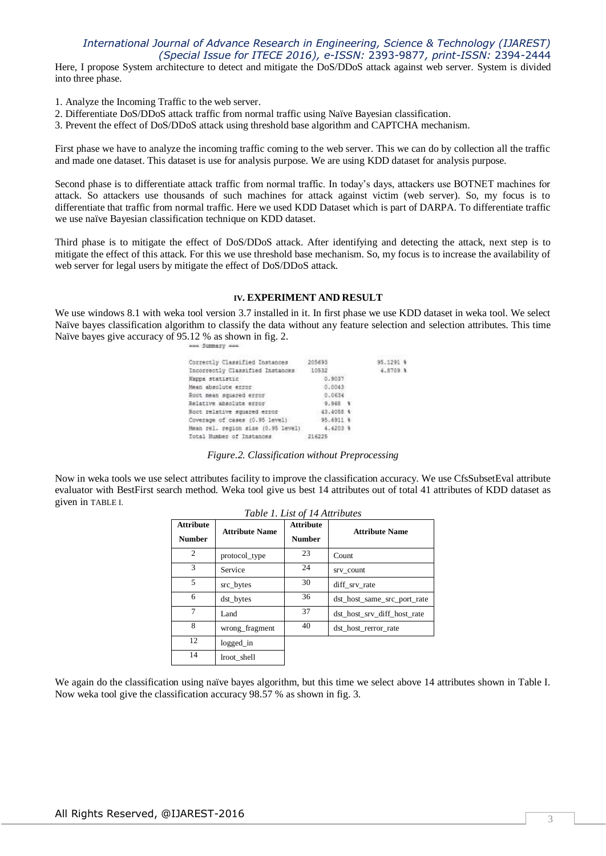## *International Journal of Advance Research in Engineering, Science & Technology (IJAREST) (Special Issue for ITECE 2016), e-ISSN:* 2393-9877*, print-ISSN:* 2394-2444

Here, I propose System architecture to detect and mitigate the DoS/DDoS attack against web server. System is divided into three phase.

- 1. Analyze the Incoming Traffic to the web server.
- 2. Differentiate DoS/DDoS attack traffic from normal traffic using Naïve Bayesian classification.
- 3. Prevent the effect of DoS/DDoS attack using threshold base algorithm and CAPTCHA mechanism.

First phase we have to analyze the incoming traffic coming to the web server. This we can do by collection all the traffic and made one dataset. This dataset is use for analysis purpose. We are using KDD dataset for analysis purpose.

Second phase is to differentiate attack traffic from normal traffic. In today's days, attackers use BOTNET machines for attack. So attackers use thousands of such machines for attack against victim (web server). So, my focus is to differentiate that traffic from normal traffic. Here we used KDD Dataset which is part of DARPA. To differentiate traffic we use naïve Bayesian classification technique on KDD dataset.

Third phase is to mitigate the effect of DoS/DDoS attack. After identifying and detecting the attack, next step is to mitigate the effect of this attack. For this we use threshold base mechanism. So, my focus is to increase the availability of web server for legal users by mitigate the effect of DoS/DDoS attack.

#### **IV. EXPERIMENT AND RESULT**

We use windows 8.1 with weka tool version 3.7 installed in it. In first phase we use KDD dataset in weka tool. We select Naïve bayes classification algorithm to classify the data without any feature selection and selection attributes. This time Naïve bayes give accuracy of 95.12 % as shown in fig. 2.

| Correctly Classified Instances         | 205693    | 95.1291 % |
|----------------------------------------|-----------|-----------|
| Incorrectly Classified Instances 10532 |           | 4.8709 \$ |
| Kappa statistic                        | 0.9037    |           |
| Mean absolute error                    | 0.0043    |           |
| Root mean squared error                | 0.0634    |           |
| Relative absolute error                | $9,968$ 1 |           |
| Root relative squared error            | 43,4058 4 |           |
| Coverage of cases (0.95 level)         | 95,6911 1 |           |
| Mean rel. region size (0.95 level)     | 4.4203.4  |           |
| Total Number of Instances              | 216225    |           |

#### *Figure.2. Classification without Preprocessing*

Now in weka tools we use select attributes facility to improve the classification accuracy. We use CfsSubsetEval attribute evaluator with BestFirst search method. Weka tool give us best 14 attributes out of total 41 attributes of KDD dataset as given in TABLE I.

*Table 1. List of 14 Attributes*

| <b>Attribute</b><br><b>Number</b> | <b>Attribute Name</b> | <b>Attribute</b><br><b>Number</b> | <b>Attribute Name</b>       |  |
|-----------------------------------|-----------------------|-----------------------------------|-----------------------------|--|
| 2                                 | protocol_type         | 23                                | Count                       |  |
| 3                                 | Service               | 24                                | srv count                   |  |
| 5                                 | src_bytes             | 30                                | diff srv rate               |  |
| 6                                 | dst bytes             | 36                                | dst host same src port rate |  |
| 7                                 | Land                  | 37                                | dst host srv diff host rate |  |
| 8                                 | wrong_fragment        | 40                                | dst_host_rerror_rate        |  |
| 12                                | logged in             |                                   |                             |  |
| 14                                | lroot shell           |                                   |                             |  |

We again do the classification using naïve bayes algorithm, but this time we select above 14 attributes shown in Table I. Now weka tool give the classification accuracy 98.57 % as shown in fig. 3.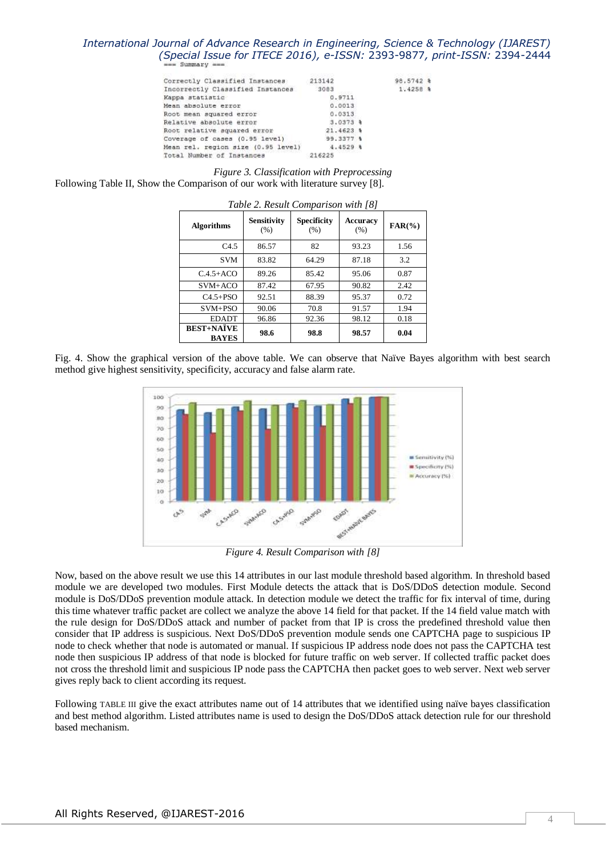# *International Journal of Advance Research in Engineering, Science & Technology (IJAREST) (Special Issue for ITECE 2016), e-ISSN:* 2393-9877*, print-ISSN:* 2394-2444

| Correctly Classified Instances     | 213142       | 98.5742 %  |  |
|------------------------------------|--------------|------------|--|
| Incorrectly Classified Instances   | 3083         | $1.4258$ & |  |
| Kappa statistic                    | 0.9711       |            |  |
| Mean absolute error                | 0.0013       |            |  |
| Root mean squared error            | 0.0313       |            |  |
| Relative absolute error            | $3.0373$ \$  |            |  |
| Root relative squared error        | $21.4623$ \$ |            |  |
| Coverage of cases (0.95 level)     | 99.3377 %    |            |  |
| Mean rel. region size (0.95 level) | $4.4529$ \$  |            |  |
| Total Number of Instances          | 216225       |            |  |
|                                    |              |            |  |

*Figure 3. Classification with Preprocessing* Following Table II, Show the Comparison of our work with literature survey [8].

| Table 2. Result Comparison with [8] |                            |                            |                  |            |
|-------------------------------------|----------------------------|----------------------------|------------------|------------|
| <b>Algorithms</b>                   | <b>Sensitivity</b><br>(% ) | <b>Specificity</b><br>(% ) | Accuracy<br>(% ) | $FAR(\% )$ |
| C4.5                                | 86.57                      | 82                         | 93.23            | 1.56       |
| <b>SVM</b>                          | 83.82                      | 64.29                      | 87.18            | 3.2        |
| $C.4.5 + ACO$                       | 89.26                      | 85.42                      | 95.06            | 0.87       |
| SVM+ACO                             | 87.42                      | 67.95                      | 90.82            | 2.42       |
| $C4.5 + PSO$                        | 92.51                      | 88.39                      | 95.37            | 0.72       |
| $SVM+PSO$                           | 90.06                      | 70.8                       | 91.57            | 1.94       |
| <b>EDADT</b>                        | 96.86                      | 92.36                      | 98.12            | 0.18       |
| <b>BEST+NATVE</b><br><b>BAYES</b>   | 98.6                       | 98.8                       | 98.57            | 0.04       |

Fig. 4. Show the graphical version of the above table. We can observe that Naïve Bayes algorithm with best search method give highest sensitivity, specificity, accuracy and false alarm rate.



*Figure 4. Result Comparison with [8]*

Now, based on the above result we use this 14 attributes in our last module threshold based algorithm. In threshold based module we are developed two modules. First Module detects the attack that is DoS/DDoS detection module. Second module is DoS/DDoS prevention module attack. In detection module we detect the traffic for fix interval of time, during this time whatever traffic packet are collect we analyze the above 14 field for that packet. If the 14 field value match with the rule design for DoS/DDoS attack and number of packet from that IP is cross the predefined threshold value then consider that IP address is suspicious. Next DoS/DDoS prevention module sends one CAPTCHA page to suspicious IP node to check whether that node is automated or manual. If suspicious IP address node does not pass the CAPTCHA test node then suspicious IP address of that node is blocked for future traffic on web server. If collected traffic packet does not cross the threshold limit and suspicious IP node pass the CAPTCHA then packet goes to web server. Next web server gives reply back to client according its request.

Following TABLE III give the exact attributes name out of 14 attributes that we identified using naïve bayes classification and best method algorithm. Listed attributes name is used to design the DoS/DDoS attack detection rule for our threshold based mechanism.